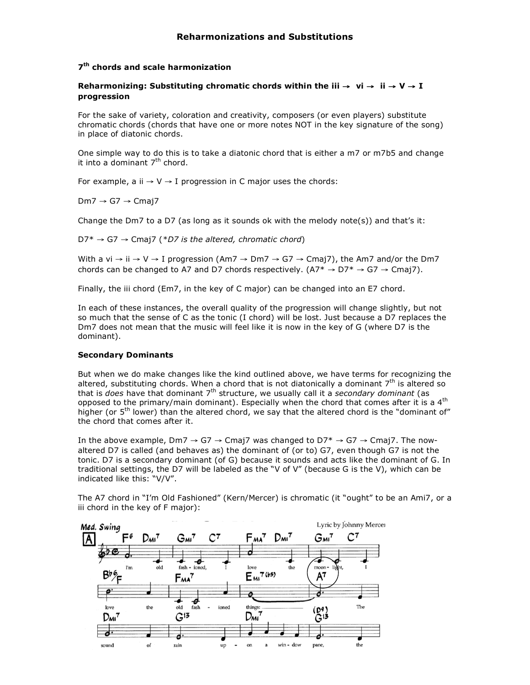# **7th chords and scale harmonization**

# **Reharmonizing: Substituting chromatic chords within the iii** → **vi** → **ii** → **V** → **I progression**

For the sake of variety, coloration and creativity, composers (or even players) substitute chromatic chords (chords that have one or more notes NOT in the key signature of the song) in place of diatonic chords.

One simple way to do this is to take a diatonic chord that is either a m7 or m7b5 and change it into a dominant  $7<sup>th</sup>$  chord.

For example, a ii  $\rightarrow$  V  $\rightarrow$  I progression in C major uses the chords:

 $Dm7 \rightarrow G7 \rightarrow Cma17$ 

Change the Dm7 to a D7 (as long as it sounds ok with the melody note(s)) and that's it:

D7\* → G7 → Cmaj7 (*\*D7 is the altered, chromatic chord*)

With a vi  $\rightarrow$  ii  $\rightarrow$  V  $\rightarrow$  I progression (Am7  $\rightarrow$  Dm7  $\rightarrow$  G7  $\rightarrow$  Cmaj7), the Am7 and/or the Dm7 chords can be changed to A7 and D7 chords respectively.  $(A7^* \rightarrow D7^* \rightarrow G7 \rightarrow C\text{maj7})$ .

Finally, the iii chord (Em7, in the key of C major) can be changed into an E7 chord.

In each of these instances, the overall quality of the progression will change slightly, but not so much that the sense of C as the tonic (I chord) will be lost. Just because a D7 replaces the Dm7 does not mean that the music will feel like it is now in the key of G (where D7 is the dominant).

# **Secondary Dominants**

But when we do make changes like the kind outlined above, we have terms for recognizing the altered, substituting chords. When a chord that is not diatonically a dominant  $7<sup>th</sup>$  is altered so that is *does* have that dominant 7th structure, we usually call it a *secondary dominant* (as opposed to the primary/main dominant). Especially when the chord that comes after it is a  $4<sup>th</sup>$ higher (or 5<sup>th</sup> lower) than the altered chord, we say that the altered chord is the "dominant of" the chord that comes after it.

In the above example, Dm7  $\rightarrow$  G7  $\rightarrow$  Cmaj7 was changed to D7\*  $\rightarrow$  G7  $\rightarrow$  Cmaj7. The nowaltered D7 is called (and behaves as) the dominant of (or to) G7, even though G7 is not the tonic. D7 is a secondary dominant (of G) because it sounds and acts like the dominant of G. In traditional settings, the D7 will be labeled as the "V of V" (because G is the V), which can be indicated like this: "V/V".



The A7 chord in "I'm Old Fashioned" (Kern/Mercer) is chromatic (it "ought" to be an Ami7, or a iii chord in the key of F major):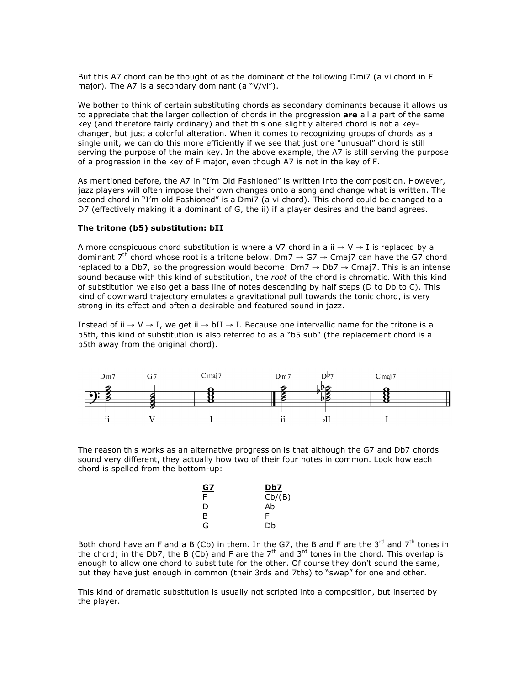But this A7 chord can be thought of as the dominant of the following Dmi7 (a vi chord in F major). The A7 is a secondary dominant (a "V/vi").

We bother to think of certain substituting chords as secondary dominants because it allows us to appreciate that the larger collection of chords in the progression **are** all a part of the same key (and therefore fairly ordinary) and that this one slightly altered chord is not a keychanger, but just a colorful alteration. When it comes to recognizing groups of chords as a single unit, we can do this more efficiently if we see that just one "unusual" chord is still serving the purpose of the main key. In the above example, the A7 is still serving the purpose of a progression in the key of F major, even though A7 is not in the key of F.

As mentioned before, the A7 in "I'm Old Fashioned" is written into the composition. However, jazz players will often impose their own changes onto a song and change what is written. The second chord in "I'm old Fashioned" is a Dmi7 (a vi chord). This chord could be changed to a D7 (effectively making it a dominant of G, the ii) if a player desires and the band agrees.

## **The tritone (b5) substitution: bII**

A more conspicuous chord substitution is where a V7 chord in a ii  $\rightarrow$  V  $\rightarrow$  I is replaced by a dominant  $7^{th}$  chord whose root is a tritone below. Dm7  $\rightarrow$  G7  $\rightarrow$  Cmaj7 can have the G7 chord replaced to a Db7, so the progression would become: Dm7 → Db7 → Cmaj7. This is an intense sound because with this kind of substitution, the *root* of the chord is chromatic. With this kind of substitution we also get a bass line of notes descending by half steps (D to Db to C). This kind of downward trajectory emulates a gravitational pull towards the tonic chord, is very strong in its effect and often a desirable and featured sound in jazz.

Instead of ii  $\rightarrow$  V  $\rightarrow$  I, we get ii  $\rightarrow$  bII  $\rightarrow$  I. Because one intervallic name for the tritone is a b5th, this kind of substitution is also referred to as a "b5 sub" (the replacement chord is a b5th away from the original chord).



The reason this works as an alternative progression is that although the G7 and Db7 chords sound very different, they actually how two of their four notes in common. Look how each chord is spelled from the bottom-up:

| <u>G7</u> | Db7    |
|-----------|--------|
| F         | Cb/(B) |
| D         | Ab     |
| B         | F      |
| G         | Db     |
|           |        |

Both chord have an F and a B (Cb) in them. In the G7, the B and F are the  $3^{rd}$  and  $7^{th}$  tones in the chord; in the Db7, the B (Cb) and F are the  $7<sup>th</sup>$  and  $3<sup>rd</sup>$  tones in the chord. This overlap is enough to allow one chord to substitute for the other. Of course they don't sound the same, but they have just enough in common (their 3rds and 7ths) to "swap" for one and other.

This kind of dramatic substitution is usually not scripted into a composition, but inserted by the player.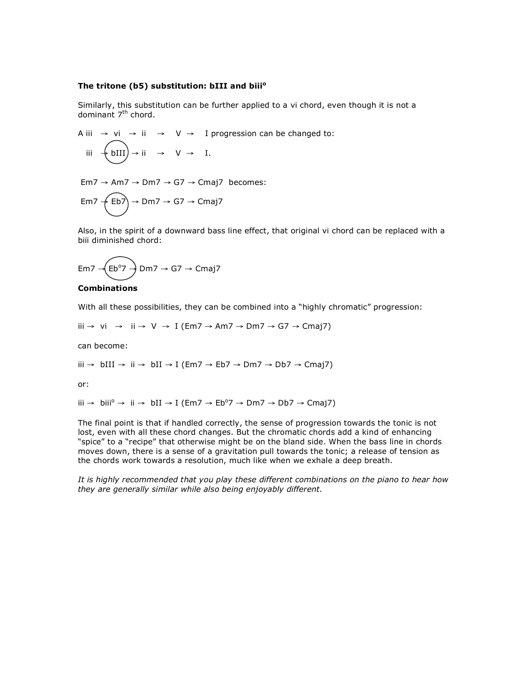## **The tritone (b5) substitution: bIII and biii<sup>o</sup>**

Similarly, this substitution can be further applied to a vi chord, even though it is not a dominant 7<sup>th</sup> chord.

A iii  $\rightarrow$  vi  $\rightarrow$  ii  $\rightarrow$  V  $\rightarrow$  I progression can be changed to: iii  $\div$  bIII) → ii → V → I.

Em7  $\rightarrow$  Am7  $\rightarrow$  Dm7  $\rightarrow$  G7  $\rightarrow$  Cmaj7 becomes:

$$
Em7 \xleftarrow{\text{Eb7}} \rightarrow Dm7 \rightarrow G7 \rightarrow Cmaj7
$$

Also, in the spirit of a downward bass line effect, that original vi chord can be replaced with a biii diminished chord:

$$
Em7 \rightarrow \text{(Eb°7)} Dm7 \rightarrow G7 \rightarrow Cmaj7
$$

# **Combinations**

With all these possibilities, they can be combined into a "highly chromatic" progression:

iii → vi → ii → V → I (Em7 → Am7 → Dm7 → G7 → Cmaj7)

can become:

iii → bIII → ii → bII → I (Em7 → Eb7 → Dm7 → Db7 → Cmaj7)

or:

iii → biii<sup>o</sup> → ii → bII → I (Em7 → Eb<sup>o</sup>7 → Dm7 → Db7 → Cmaj7)

The final point is that if handled correctly, the sense of progression towards the tonic is not lost, even with all these chord changes. But the chromatic chords add a kind of enhancing "spice" to a "recipe" that otherwise might be on the bland side. When the bass line in chords moves down, there is a sense of a gravitation pull towards the tonic; a release of tension as the chords work towards a resolution, much like when we exhale a deep breath.

*It is highly recommended that you play these different combinations on the piano to hear how they are generally similar while also being enjoyably different.*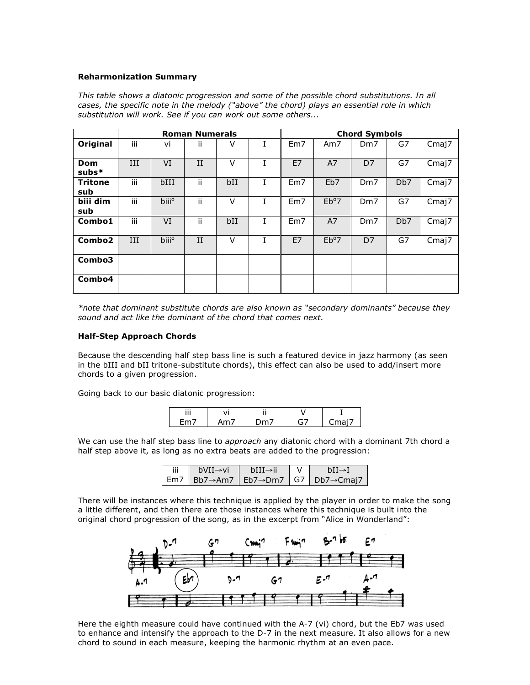## **Reharmonization Summary**

| This table shows a diatonic progression and some of the possible chord substitutions. In all |
|----------------------------------------------------------------------------------------------|
| cases, the specific note in the melody ("above" the chord) plays an essential role in which  |
| substitution will work. See if you can work out some others                                  |

|                       | <b>Roman Numerals</b> |                   |     |        | <b>Chord Symbols</b> |     |                 |                 |                  |       |
|-----------------------|-----------------------|-------------------|-----|--------|----------------------|-----|-----------------|-----------------|------------------|-------|
| Original              | iii                   | vi                | Ϊİ  | V      |                      | Em7 | Am7             | Dm <sub>7</sub> | G7               | Cmaj7 |
| Dom<br>$subs*$        | III                   | VI                | II  | $\vee$ |                      | E7  | A7              | D <sub>7</sub>  | G7               | Cmaj7 |
| <b>Tritone</b><br>sub | iii                   | bIII              | ii  | bII    | T.                   | Em7 | Eb <sub>7</sub> | Dm <sub>7</sub> | Db7              | Cmaj7 |
| biii dim<br>sub       | iii                   | biii <sup>o</sup> | ii  | $\vee$ |                      | Em7 | $Eb^{\circ}7$   | Dm <sub>7</sub> | G7               | Cmaj7 |
| Combo1                | iii                   | VI                | ii. | bII    |                      | Em7 | A7              | Dm <sub>7</sub> | D <sub>b</sub> 7 | Cmaj7 |
| Combo <sub>2</sub>    | III                   | biii <sup>o</sup> | II  | $\vee$ |                      | E7  | $Eb^{o}7$       | D7              | G7               | Cmaj7 |
| Combo3                |                       |                   |     |        |                      |     |                 |                 |                  |       |
| Combo4                |                       |                   |     |        |                      |     |                 |                 |                  |       |

*\*note that dominant substitute chords are also known as "secondary dominants" because they sound and act like the dominant of the chord that comes next.*

#### **Half-Step Approach Chords**

Because the descending half step bass line is such a featured device in jazz harmony (as seen in the bIII and bII tritone-substitute chords), this effect can also be used to add/insert more chords to a given progression.

Going back to our basic diatonic progression:

| <br>   |                 |       |
|--------|-----------------|-------|
| $\sim$ | and the control | ⊤ندر، |

We can use the half step bass line to *approach* any diatonic chord with a dominant 7th chord a half step above it, as long as no extra beats are added to the progression:

| iii | bVII→vi | $bIII \rightarrow ii$ | $hII \rightarrow I$                      |
|-----|---------|-----------------------|------------------------------------------|
|     |         |                       | Em7   Bb7→Am7   Eb7→Dm7   G7   Db7→Cmaj7 |

There will be instances where this technique is applied by the player in order to make the song a little different, and then there are those instances where this technique is built into the original chord progression of the song, as in the excerpt from "Alice in Wonderland":



Here the eighth measure could have continued with the A-7 (vi) chord, but the Eb7 was used to enhance and intensify the approach to the D-7 in the next measure. It also allows for a new chord to sound in each measure, keeping the harmonic rhythm at an even pace.